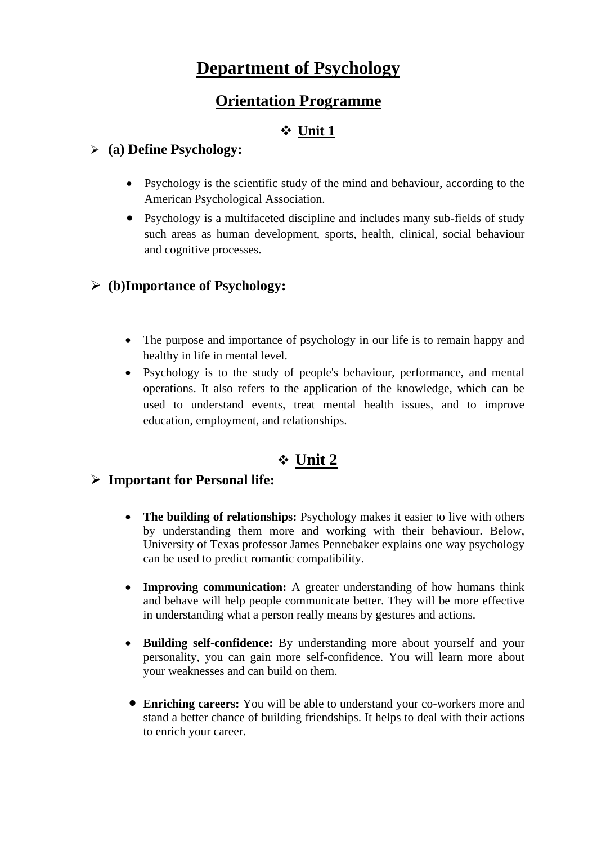# **Department of Psychology**

## **Orientation Programme**

# ❖ **Unit 1**

#### ➢ **(a) Define Psychology:**

- Psychology is the scientific study of the mind and behaviour, according to the American Psychological Association.
- Psychology is a multifaceted discipline and includes many sub-fields of study such areas as human development, sports, health, clinical, social behaviour and cognitive processes.

### ➢ **(b)Importance of Psychology:**

- The purpose and importance of psychology in our life is to remain happy and healthy in life in mental level.
- Psychology is to the study of people's behaviour, performance, and mental operations. It also refers to the application of the knowledge, which can be used to understand events, treat mental health issues, and to improve education, employment, and relationships.

## ❖ **Unit 2**

### ➢ **Important for Personal life:**

- **The building of relationships:** Psychology makes it easier to live with others by understanding them more and working with their behaviour. Below, University of Texas professor James Pennebaker explains one way psychology can be used to predict romantic compatibility.
- **Improving communication:** A greater understanding of how humans think and behave will help people communicate better. They will be more effective in understanding what a person really means by gestures and actions.
- **Building self-confidence:** By understanding more about yourself and your personality, you can gain more self-confidence. You will learn more about your weaknesses and can build on them.
- **Enriching careers:** You will be able to understand your co-workers more and stand a better chance of building friendships. It helps to deal with their actions to enrich your career.